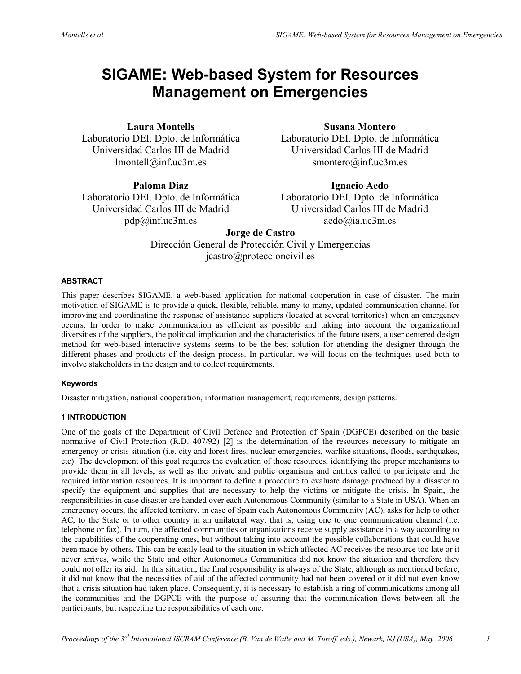# **SIGAME: Web-based System for Resources Management on Emergencies**

# **Laura Montells**

Laboratorio DEI. Dpto. de Informática Universidad Carlos III de Madrid lmontell@inf.uc3m.es

**Paloma Díaz**

Laboratorio DEI. Dpto. de Informática Universidad Carlos III de Madrid pdp@inf.uc3m.es

**Susana Montero** 

Laboratorio DEI. Dpto. de Informática Universidad Carlos III de Madrid smontero@inf.uc3m.es

# **Ignacio Aedo**

Laboratorio DEI. Dpto. de Informática Universidad Carlos III de Madrid aedo@ia.uc3m.es

**Jorge de Castro**  Dirección General de Protección Civil y Emergencias jcastro@proteccioncivil.es

## **ABSTRACT**

This paper describes SIGAME, a web-based application for national cooperation in case of disaster. The main motivation of SIGAME is to provide a quick, flexible, reliable, many-to-many, updated communication channel for improving and coordinating the response of assistance suppliers (located at several territories) when an emergency occurs. In order to make communication as efficient as possible and taking into account the organizational diversities of the suppliers, the political implication and the characteristics of the future users, a user centered design method for web-based interactive systems seems to be the best solution for attending the designer through the different phases and products of the design process. In particular, we will focus on the techniques used both to involve stakeholders in the design and to collect requirements.

## **Keywords**

Disaster mitigation, national cooperation, information management, requirements, design patterns.

## **1 INTRODUCTION**

One of the goals of the Department of Civil Defence and Protection of Spain (DGPCE) described on the basic normative of Civil Protection (R.D. 407/92) [2] is the determination of the resources necessary to mitigate an emergency or crisis situation (i.e. city and forest fires, nuclear emergencies, warlike situations, floods, earthquakes, etc). The development of this goal requires the evaluation of those resources, identifying the proper mechanisms to provide them in all levels, as well as the private and public organisms and entities called to participate and the required information resources. It is important to define a procedure to evaluate damage produced by a disaster to specify the equipment and supplies that are necessary to help the victims or mitigate the crisis. In Spain, the responsibilities in case disaster are handed over each Autonomous Community (similar to a State in USA). When an emergency occurs, the affected territory, in case of Spain each Autonomous Community (AC), asks for help to other AC, to the State or to other country in an unilateral way, that is, using one to one communication channel (i.e. telephone or fax). In turn, the affected communities or organizations receive supply assistance in a way according to the capabilities of the cooperating ones, but without taking into account the possible collaborations that could have been made by others. This can be easily lead to the situation in which affected AC receives the resource too late or it never arrives, while the State and other Autonomous Communities did not know the situation and therefore they could not offer its aid. In this situation, the final responsibility is always of the State, although as mentioned before, it did not know that the necessities of aid of the affected community had not been covered or it did not even know that a crisis situation had taken place. Consequently, it is necessary to establish a ring of communications among all the communities and the DGPCE with the purpose of assuring that the communication flows between all the participants, but respecting the responsibilities of each one.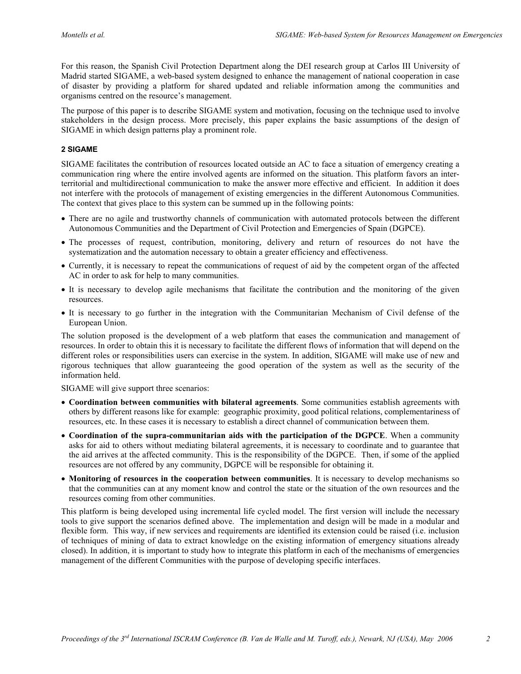For this reason, the Spanish Civil Protection Department along the DEI research group at Carlos III University of Madrid started SIGAME, a web-based system designed to enhance the management of national cooperation in case of disaster by providing a platform for shared updated and reliable information among the communities and organisms centred on the resource's management.

stakeholders in the design process. More precisely, this paper explains the basic assumptions of the design of The purpose of this paper is to describe SIGAME system and motivation, focusing on the technique used to involve SIGAME in which design patterns play a prominent role.

#### **2 SIGAME**

SIGAME facilitates the contribution of resources located outside an AC to face a situation of emergency creating a communication ring where the entire involved agents are informed on the situation. This platform favors an interterritorial and multidirectional communication to make the answer more effective and efficient. In addition it does not interfere with the protocols of management of existing emergencies in the different Autonomous Communities. The context that gives place to this system can be summed up in the following points:

- Autonomous Communities and the Department of Civil Protection and Emergencies of Spain (DGPCE). • There are no agile and trustworthy channels of communication with automated protocols between the different
- The processes of request, contribution, monitoring, delivery and return of resources do not have the systematization and the automation necessary to obtain a greater efficiency and effectiveness.
- Currently, it is necessary to repeat the communications of request of aid by the competent organ of the affected AC in order to ask for help to many communities.
- It is necessary to develop agile mechanisms that facilitate the contribution and the monitoring of the given resources.
- European Union. • It is necessary to go further in the integration with the Communitarian Mechanism of Civil defense of the

resources. In order to obtain this it is necessary to facilitate the different flows of information that will depend on the The solution proposed is the development of a web platform that eases the communication and management of different roles or responsibilities users can exercise in the system. In addition, SIGAME will make use of new and rigorous techniques that allow guaranteeing the good operation of the system as well as the security of the information held.

SIGAME will give support three scenarios:

- **Coordination between communities with bilateral agreements**. Some communities establish agreements with others by different reasons like for example: geographic proximity, good political relations, complementariness of resources, etc. In these cases it is necessary to establish a direct channel of communication between them.
- **Coordination of the supra-communitarian aids with the participation of the DGPCE**. When a community asks for aid to others without mediating bilateral agreements, it is necessary to coordinate and to guarantee that the aid arrives at the affected community. This is the responsibility of the DGPCE. Then, if some of the applied resources are not offered by any community, DGPCE will be responsible for obtaining it.
- **Monitoring of resources in the cooperation between communities**. It is necessary to develop mechanisms so that the communities can at any moment know and control the state or the situation of the own resources and the resources coming from other communities.

T his platform is being developed using incremental life cycled model. The first version will include the necessary tools to give support the scenarios defined above. The implementation and design will be made in a modular and flexible form. This way, if new services and requirements are identified its extension could be raised (i.e. inclusion of techniques of mining of data to extract knowledge on the existing information of emergency situations already closed). In addition, it is important to study how to integrate this platform in each of the mechanisms of emergencies management of the different Communities with the purpose of developing specific interfaces.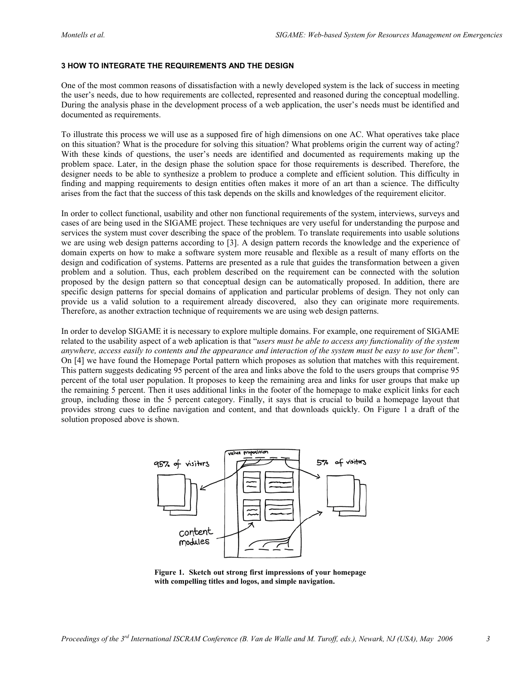#### **3 HOW TO INTEGRATE THE REQUIREMENTS AND THE DESIGN**

One of the most common reasons of dissatisfaction with a newly developed system is the lack of success in meeting the user's needs, due to how requirements are collected, represented and reasoned during the conceptual modelling. During the analysis phase in the development process of a web application, the user's needs must be identified and documented as requirements.

To illustrate this process we will use as a supposed fire of high dimensions on one AC. What operatives take place on this situation? What is the procedure for solving this situation? What problems origin the current way of acting? With these kinds of questions, the user's needs are identified and documented as requirements making up the problem space. Later, in the design phase the solution space for those requirements is described. Therefore, the designer needs to be able to synthesize a problem to produce a complete and efficient solution. This difficulty in finding and mapping requirements to design entities often makes it more of an art than a science. The difficulty arises from the fact that the success of this task depends on the skills and knowledges of the requirement elicitor.

In order to collect functional, usability and other non functional requirements of the system, interviews, surveys and cases of are being used in the SIGAME project. These techniques are very useful for understanding the purpose and services the system must cover describing the space of the problem. To translate requirements into usable solutions we are using web design patterns according to [3]. A design pattern records the knowledge and the experience of domain experts on how to make a software system more reusable and flexible as a result of many efforts on the design and codification of systems. Patterns are presented as a rule that guides the transformation between a given problem and a solution. Thus, each problem described on the requirement can be connected with the solution proposed by the design pattern so that conceptual design can be automatically proposed. In addition, there are specific design patterns for special domains of application and particular problems of design. They not only can provide us a valid solution to a requirement already discovered, also they can originate more requirements. Therefore, as another extraction technique of requirements we are using web design patterns.

In order to develop SIGAME it is necessary to explore multiple domains. For example, one requirement of SIGAME related to the usability aspect of a web aplication is that "*users must be able to access any functionality of the system anywhere, access easily to contents and the appearance and interaction of the system must be easy to use for them*". On [4] we have found the Homepage Portal pattern which proposes as solution that matches with this requirement. This pattern suggests dedicating 95 percent of the area and links above the fold to the users groups that comprise 95 percent of the total user population. It proposes to keep the remaining area and links for user groups that make up the remaining 5 percent. Then it uses additional links in the footer of the homepage to make explicit links for each group, including those in the 5 percent category. Finally, it says that is crucial to build a homepage layout that provides strong cues to define navigation and content, and that downloads quickly. On Figure 1 a draft of the solution proposed above is shown.



**Figure 1. Sketch out strong first impressions of your homepage with compelling titles and logos, and simple navigation.**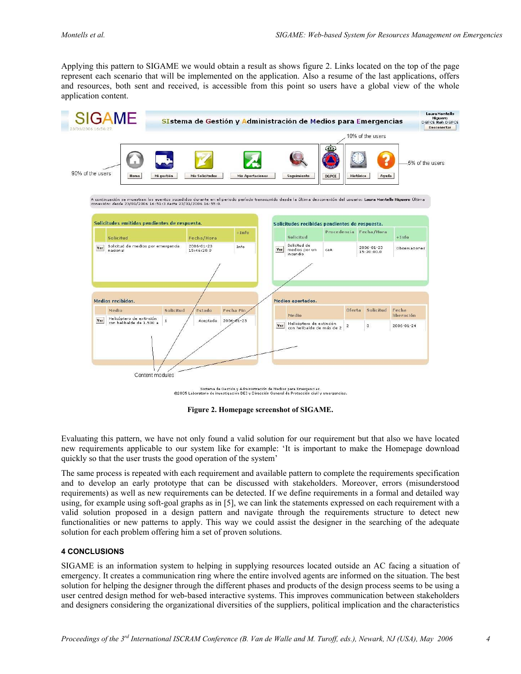Applying this pattern to SIGAME we would obtain a result as shows figure 2. Links located on the top of the page represent each scenario that will be implemented on the application. Also a resume of the last applications, offers and resources, both sent and received, is accessible from this point so users have a global view of the whole application content.



**Figure 2. Homepage screenshot of SIGAME.** 

Evaluating this pattern, we have not only found a valid solution for our requirement but that also we have located new requirements applicable to our system like for example: 'It is important to make the Homepage download quickly so that the user trusts the good operation of the system'

The same process is repeated with each requirement and available pattern to complete the requirements specification and to develop an early prototype that can be discussed with stakeholders. Moreover, errors (misunderstood requirements) as well as new requirements can be detected. If we define requirements in a formal and detailed way using, for example using soft-goal graphs as in [5], we can link the statements expressed on each requirement with a valid solution proposed in a design pattern and navigate through the requirements structure to detect new functionalities or new patterns to apply. This way we could assist the designer in the searching of the adequate solution for each problem offering him a set of proven solutions.

#### **4 CONCLUSIONS**

SIGAME is an information system to helping in supplying resources located outside an AC facing a situation of emergency. It creates a communication ring where the entire involved agents are informed on the situation. The best solution for helping the designer through the different phases and products of the design process seems to be using a user centred design method for web-based interactive systems. This improves communication between stakeholders and designers considering the organizational diversities of the suppliers, political implication and the characteristics